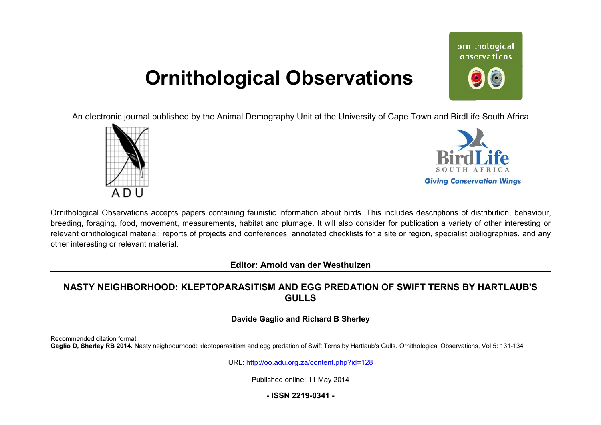# **Ornithological Observations**

ornithological observations

An electronic journal published by the Animal Demography Unit at the University of Cape Town and BirdLife South Africa





Ornithological Observations accepts papers containing faunistic information about birds. This includes descriptions of distribution, behaviour, breeding, foraging, food, movement, measurements, habitat and plumage. It will also consider for publication a variety of other interesting or relevant ornithological material: reports of projects and conferences, annotated checklists for a site or region, specialist bibliographies, and any other interesting or relevant material.

**Editor: Arnold van der Westhuizen**

# <code>NASTY</code> <code>NEIGHBORHOOD: KLEPTOPARASITISM AND EGG PREDATION OF SWIFT TERNS BY HARTLAUB'S</code> **GULLS**

#### **Davide Gaglio and Richard B Sherley**

Recommended citation format: Gaglio D, Sherley RB 2014. Nasty neighbourhood: kleptoparasitism and egg predation of Swift Terns by Hartlaub's Gulls. Ornithological Observations, Vol 5: 131-134

URL: <http://oo.adu.org.za/content.php?id=128>

Published online: 11 May 2014

## **- ISSN 2219-0341 -**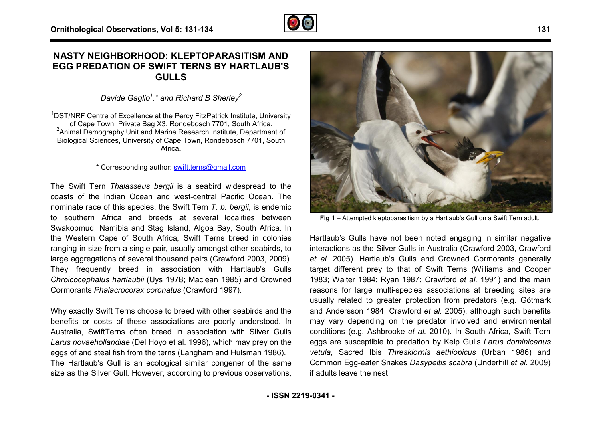## **NASTY NEIGHBORHOOD: KLEPTOPARASITISM AND EGG PREDATION OF SWIFT TERNS BY HARTLAUB'S GULLS**

*Davide Gaglio<sup>1</sup> ,\* and Richard B Sherley<sup>2</sup>*

<sup>1</sup>DST/NRF Centre of Excellence at the Percy FitzPatrick Institute, University of Cape Town, Private Bag X3, Rondebosch 7701, South Africa.  $2$ Animal Demography Unit and Marine Research Institute, Department of Biological Sciences, University of Cape Town, Rondebosch 7701, South Africa.

#### \* Corresponding author: **swift.terns@gmail.com**

The Swift Tern *Thalasseus bergii* is a seabird widespread to the coasts of the Indian Ocean and west-central Pacific Ocean. The nominate race of this species, the Swift Tern *T. b. bergi bergii*, is endemic to southern Africa and breeds at several localities between Swakopmud, Namibia and Stag Island, Algoa Bay, South Africa. In the Western Cape of South Africa, Swift Terns breed in colonies ranging in size from a single pair, usually amongst other seabirds, to large aggregations of several thousand pairs (Crawford 2003, 2009) 2009). They frequently breed in association with Hartlaub's Gulls *Chroicocephalus hartlaubii* (Uys 1978; Maclean 1985) and Crowned Cormorants *Phalacrocorax coronatus* (Crawford 1997).

Why exactly Swift Terns choose to breed with other seabirds and the benefits or costs of these associations are poorly understood. In Australia, SwiftTerns often breed in association with Silver Gulls *Larus novaehollandiae* (Del Hoyo et al. 1996), which may prey on the eggs of and steal fish from the terns (Langham and Hulsman 1986). The Hartlaub's Gull is an ecological similar congener of the same size as the Silver Gull. However, according to previous observations,



Arica and breeds at several localities between<br>
angle plain, Algon Bay, South Africa, In<br>
angle plain, Algon Bay, South Africa, In<br>
appe of South Africa, Swift Terms breed in colonies<br>
from a single pair, usually amongst o Hartlaub's Gulls have not been noted engaging in similar negative interactions as the Silver Gulls in Australia (Crawford 2003, Crawford *et al.* 2005). Hartlaub's Gulls and Crowned Cormorants generally target different prey to that of Swift Terns (Williams and Cooper 1983; Walter 1984; Ryan 1987; Crawford *et al.* 1991) and the main reasons for large multi-species associations at breeding sites are usually related to greater protection from predators (e.g. Götmark and Andersson 1984; Crawford *et al.* 2005), alt may vary depending on the predator involved and environmental conditions (e.g. Ashbrooke *et al.* 2010). In South A Africa, Swift Tern eggs are susceptible to predation by Kelp Gulls *Larus dominicanus vetula,* Sacred Ibis *Threskiornis aethiopicus* (Urban 1986) and Common Egg-eater Snakes *Dasypeltis scabra* (Underhill *et al.* 2009) if adults leave the nest. species associations at breeding sites are<br>er protection from predators (e.g. Götmark<br>rawford *et al.* 2005), although such benefits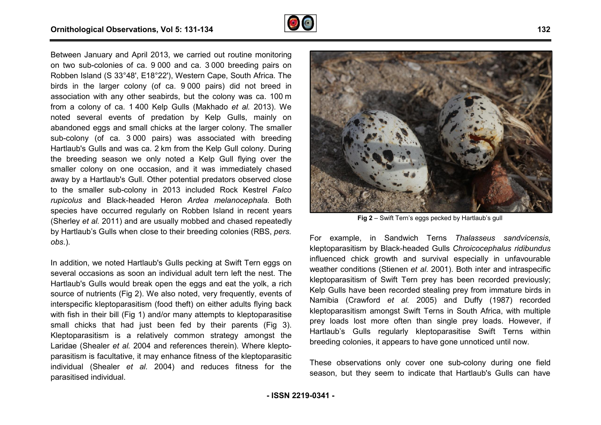

Between January and April 2013, we carried out routine monitoring on two sub-colonies of ca. 9 000 and ca. 3 000 breeding pairs on Robben Island (S 33°48', E18°22'), Western Cape, South Africa. The birds in the larger colony (of ca. 9 000 pairs) did not breed in association with any other seabirds, but the colony was ca. 100 m from a colony of ca. 1 400 Kelp Gulls (Makhado *et al.* 2013). We noted several events of predation by Kelp Gulls, mainly on abandoned eggs and small chicks at the larger colony. The smaller sub-colony (of ca. 3 000 pairs) was associated with breeding Hartlaub's Gulls and was ca. 2 km from the Kelp Gull colony. During the breeding season we only noted a Kelp Gull flying over the smaller colony on one occasion, and it was immediately chased away by a Hartlaub's Gull. Other potential predators observed close to the smaller sub-colony in 2013 included Rock Kestrel Falco *rupicolus* and Black-headed Heron *Ardea melanocephala* . Both species have occurred regularly on Robben Island in recent years (Sherley *et al.* 2011) and are usually mobbed and chased repeatedly by Hartlaub's Gulls when close to their breeding colonies (RBS, *pers. obs*.).

In addition, we noted Hartlaub's Gulls pecking at Swift Tern eggs on several occasions as soon an individual adult tern left the nest. The Hartlaub's Gulls would break open the eggs and eat the yolk, a rich source of nutrients (Fig 2). We also noted, very frequently, events of interspecific kleptoparasitism (food theft) on either adults flying back with fish in their bill (Fig 1) and/or many attempts to kleptoparasitise small chicks that had just been fed by their parents (Fig 3). Kleptoparasitism is a relatively common strategy amongst the Kleptoparasitism is a relatively common strategy amongst the<br>Laridae (Shealer *et al.* 2004 and references therein). Where kleptoparasitism is facultative, it may enhance fitness of the kleptoparasitic individual (Shealer *et al.* 2004) and reduces fitness for the parasitised individual.



**Fig 2** – Swift Tern's eggs pecked by Hartlaub's gull

For example, in Sandwich Terns *Thalasseus sandvicensis* , kleptoparasitism by Black-headed Gulls *Chroicocephalus ridibundus* influenced chick growth and survival especially i in unfavourable weather conditions (Stienen *et al*. 2001). Both inter and intraspecific kleptoparasitism of Swift Tern prey has been recorded previously; Kelp Gulls have been recorded stealing prey from immature birds in Namibia (Crawford *et al.* 2005) and Duffy (1987) recorded kleptoparasitism amongst Swift Terns in South Africa, with multiple prey loads lost more often than single prey loads. However, if Hartlaub's Gulls regularly kleptoparasitise Swift Terns within breeding colonies, it appears to have gone unnoticed until now.

These observations only cover one sub-colony during one field season, but they seem to indicate that Hartlaub's Gulls can have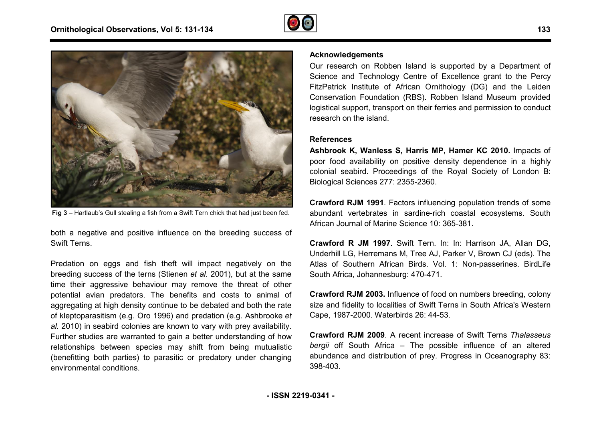



**Fig 3** – Hartlaub's Gull stealing a fish from a Swift Tern chick that had just been fed.

both a negative and positive influence on the breeding success of Swift Terns.

Predation on eggs and fish theft will impact negatively on the breeding success of the terns (Stienen *et al.* 2001), but at the same time their aggressive behaviour may remove the threat of other potential avian predators. The benefits and costs to animal of aggregating at high density continue to be debated and both the rate of kleptoparasitism (e.g. Oro 1996) and predation (e.g. Ashbrooke *et al.* 2010) in seabird colonies are known to vary with prey availability. Further studies are warranted to gain a better understanding of how relationships between species may shift from being mutualistic (benefitting both parties) to parasitic or predatory under changing environmental conditions. th a negative and positive influence on the breeding success of<br>vift Terns.<br>edation on eggs and fish theft will impact negatively on the<br>eeding success of the terns (Stienen *et al.* 2001), but at the same<br>ne their aggress

Our research on Robben Island is supported by a Department of Science and Technology Centre of Excellence grant to the Percy FitzPatrick Institute of African Ornithology (DG) and the Leiden Conservation Foundation (RBS). Robben Island Museum provided logistical support, transport on their ferries and permission to conduct research on the island.

#### **References**

**Ashbrook K, Wanless S, Harris MP, Hamer KC 2010.** Impacts of poor food availability on positive density dependence in a highly colonial seabird. Proceedings of the Royal Society of London B: Biological Sciences 277: 2355-2360.

**Crawford RJM 1991**. Factors influencing population trends of some abundant vertebrates in sardine-rich coastal ecosystems. South African Journal of Marine Science 10: 365-381. nial seabird. Proceedings of the Royal Society of London B:<br>
ogical Sciences 277: 2355-2360.<br> **wford RJM 1991**. Factors influencing population trends of some<br>
ndant vertebrates in sardine-rich coastal ecosystems. South<br>
ca

**Crawford R JM 1997**. Swift Tern. In: In: Harrison JA, Allan DG, Underhill LG, Herremans M, Tree AJ, Parker V, Brown CJ (eds). Atlas of Southern African Birds. Vol. 1: Non-passerines. BirdLife South Africa, Johannesburg: 470-471.

**Crawford RJM 2003.** Influence of food on numbers breeding, colony size and fidelity to localities of Swift Terns in South Africa's Western Cape, 1987-2000. Waterbirds 26: 44-53.

**Crawford RJM 2009**. A recent increase of Swift T Terns *Thalasseus bergii* off South Africa – The possible influence of an altered abundance and distribution of prey. Progress in Oceanography 83: 398-403.